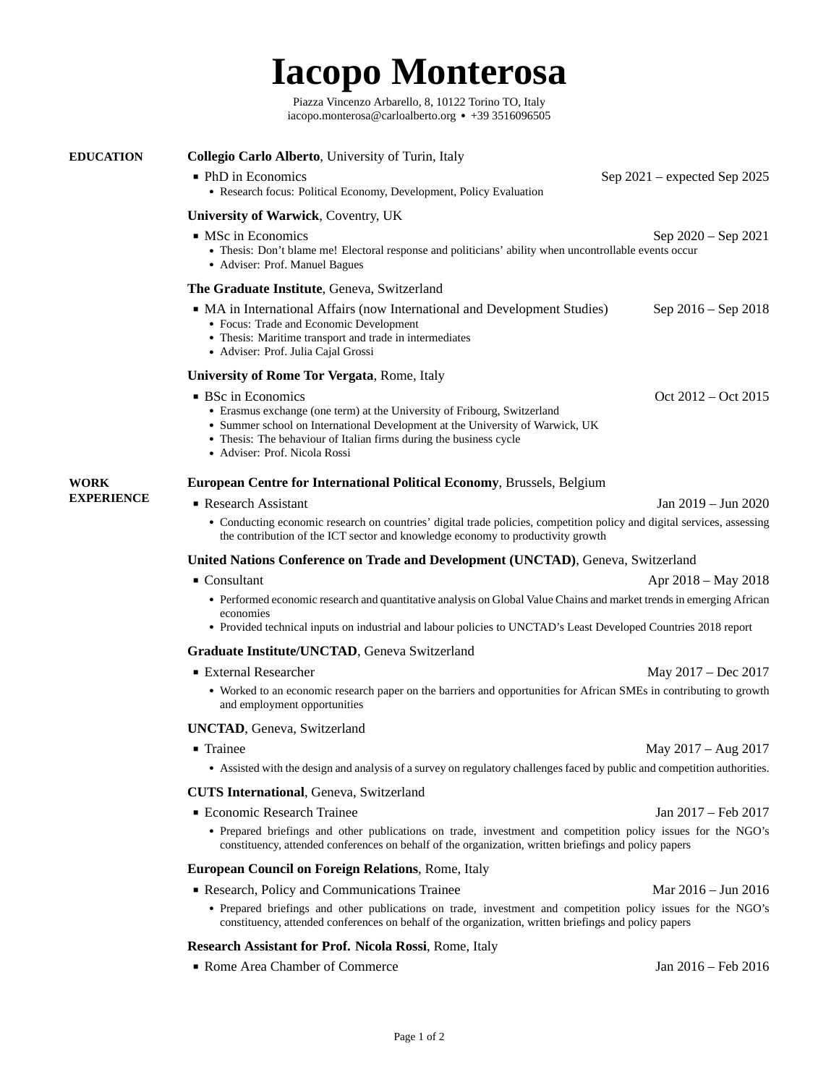## **Iacopo Monterosa**

[Piazza Vincenzo Arbarello, 8, 10122 Torino TO, Italy](https://www.google.com/maps/place/Piazza+Vincenzo+Arbarello,+8,+10122+Torino+TO,+Italia/data=!4m2!3m1!1s0x47886d0c9b3e23c3:0xb7f9634ee0e5ec2e?sa=X&ved=2ahUKEwjKnomW6Zr1AhVv77sIHccyBJIQ8gF6BAgFEAE) [iacopo.monterosa@carloalberto.org](mailto:iacopo.monterosa@carloalberto.org) ● +39 3516096505

<span id="page-0-0"></span>

| <b>EDUCATION</b>                 | <b>Collegio Carlo Alberto, University of Turin, Italy</b>                                                                                                                                                                                                                                                |                              |
|----------------------------------|----------------------------------------------------------------------------------------------------------------------------------------------------------------------------------------------------------------------------------------------------------------------------------------------------------|------------------------------|
|                                  | • PhD in Economics<br>• Research focus: Political Economy, Development, Policy Evaluation                                                                                                                                                                                                                | Sep 2021 – expected Sep 2025 |
|                                  | <b>University of Warwick, Coventry, UK</b>                                                                                                                                                                                                                                                               |                              |
|                                  | • MSc in Economics<br>Sep 2020 - Sep 2021<br>• Thesis: Don't blame me! Electoral response and politicians' ability when uncontrollable events occur<br>• Adviser: Prof. Manuel Bagues                                                                                                                    |                              |
|                                  | The Graduate Institute, Geneva, Switzerland                                                                                                                                                                                                                                                              |                              |
|                                  | • MA in International Affairs (now International and Development Studies)<br>• Focus: Trade and Economic Development<br>• Thesis: Maritime transport and trade in intermediates<br>• Adviser: Prof. Julia Cajal Grossi                                                                                   | Sep 2016 – Sep 2018          |
|                                  | <b>University of Rome Tor Vergata, Rome, Italy</b>                                                                                                                                                                                                                                                       |                              |
|                                  | ■ BSc in Economics<br>• Erasmus exchange (one term) at the University of Fribourg, Switzerland<br>• Summer school on International Development at the University of Warwick, UK<br>• Thesis: The behaviour of Italian firms during the business cycle<br>• Adviser: Prof. Nicola Rossi                   | Oct 2012 – Oct 2015          |
| <b>WORK</b><br><b>EXPERIENCE</b> | European Centre for International Political Economy, Brussels, Belgium                                                                                                                                                                                                                                   |                              |
|                                  | ■ Research Assistant                                                                                                                                                                                                                                                                                     | Jan 2019 – Jun 2020          |
|                                  | • Conducting economic research on countries' digital trade policies, competition policy and digital services, assessing<br>the contribution of the ICT sector and knowledge economy to productivity growth                                                                                               |                              |
|                                  | <b>United Nations Conference on Trade and Development (UNCTAD)</b> , Geneva, Switzerland                                                                                                                                                                                                                 |                              |
|                                  | $\blacksquare$ Consultant<br>Apr 2018 – May 2018<br>• Performed economic research and quantitative analysis on Global Value Chains and market trends in emerging African<br>economies<br>• Provided technical inputs on industrial and labour policies to UNCTAD's Least Developed Countries 2018 report |                              |
|                                  | Graduate Institute/UNCTAD, Geneva Switzerland                                                                                                                                                                                                                                                            |                              |
|                                  | ■ External Researcher                                                                                                                                                                                                                                                                                    | May 2017 - Dec 2017          |
|                                  | • Worked to an economic research paper on the barriers and opportunities for African SMEs in contributing to growth<br>and employment opportunities                                                                                                                                                      |                              |
|                                  | <b>UNCTAD, Geneva, Switzerland</b>                                                                                                                                                                                                                                                                       |                              |
|                                  | $\blacksquare$ Trainee                                                                                                                                                                                                                                                                                   | May 2017 - Aug 2017          |
|                                  | • Assisted with the design and analysis of a survey on regulatory challenges faced by public and competition authorities.                                                                                                                                                                                |                              |
|                                  | <b>CUTS International, Geneva, Switzerland</b>                                                                                                                                                                                                                                                           |                              |
|                                  | <b>Economic Research Trainee</b>                                                                                                                                                                                                                                                                         | Jan 2017 – Feb 2017          |
|                                  | • Prepared briefings and other publications on trade, investment and competition policy issues for the NGO's<br>constituency, attended conferences on behalf of the organization, written briefings and policy papers                                                                                    |                              |
|                                  | <b>European Council on Foreign Relations, Rome, Italy</b>                                                                                                                                                                                                                                                |                              |
|                                  | Research, Policy and Communications Trainee                                                                                                                                                                                                                                                              | Mar 2016 - Jun 2016          |
|                                  | • Prepared briefings and other publications on trade, investment and competition policy issues for the NGO's<br>constituency, attended conferences on behalf of the organization, written briefings and policy papers                                                                                    |                              |
|                                  | Research Assistant for Prof. Nicola Rossi, Rome, Italy                                                                                                                                                                                                                                                   |                              |
|                                  | Rome Area Chamber of Commerce                                                                                                                                                                                                                                                                            | Jan 2016 – Feb 2016          |